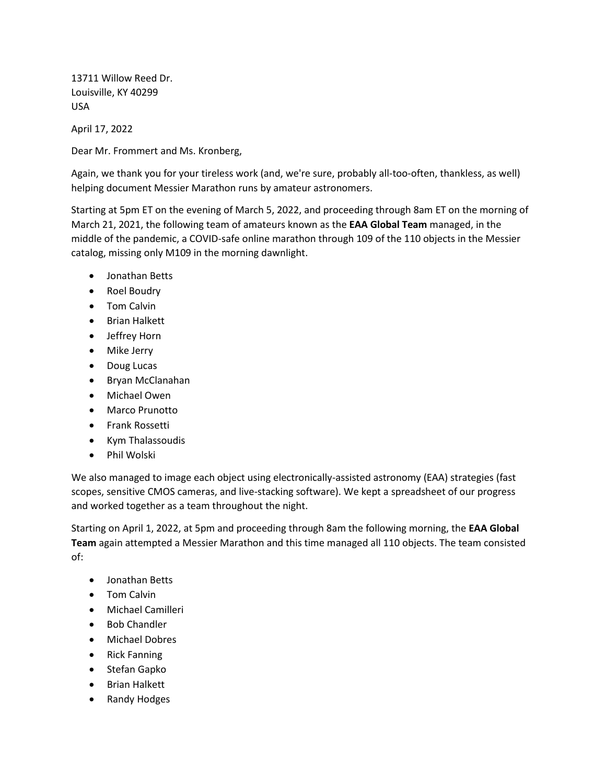13711 Willow Reed Dr. Louisville, KY 40299 USA

April 17, 2022

Dear Mr. Frommert and Ms. Kronberg,

Again, we thank you for your tireless work (and, we're sure, probably all-too-often, thankless, as well) helping document Messier Marathon runs by amateur astronomers.

Starting at 5pm ET on the evening of March 5, 2022, and proceeding through 8am ET on the morning of March 21, 2021, the following team of amateurs known as the **EAA Global Team** managed, in the middle of the pandemic, a COVID-safe online marathon through 109 of the 110 objects in the Messier catalog, missing only M109 in the morning dawnlight.

- Jonathan Betts
- Roel Boudry
- Tom Calvin
- Brian Halkett
- Jeffrey Horn
- Mike Jerry
- Doug Lucas
- Bryan McClanahan
- Michael Owen
- Marco Prunotto
- Frank Rossetti
- Kym Thalassoudis
- Phil Wolski

We also managed to image each object using electronically-assisted astronomy (EAA) strategies (fast scopes, sensitive CMOS cameras, and live-stacking software). We kept a spreadsheet of our progress and worked together as a team throughout the night.

Starting on April 1, 2022, at 5pm and proceeding through 8am the following morning, the **EAA Global Team** again attempted a Messier Marathon and this time managed all 110 objects. The team consisted of:

- Jonathan Betts
- Tom Calvin
- Michael Camilleri
- Bob Chandler
- Michael Dobres
- Rick Fanning
- Stefan Gapko
- Brian Halkett
- Randy Hodges